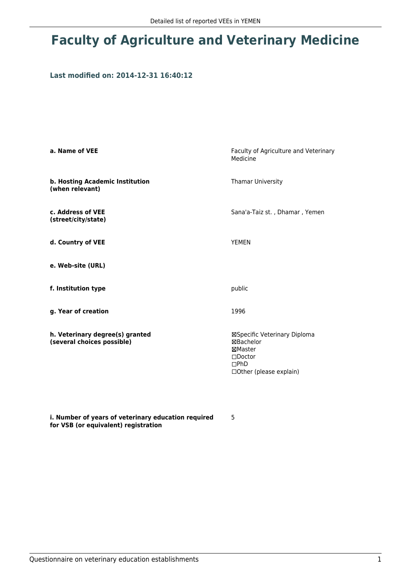# **Faculty of Agriculture and Veterinary Medicine**

# **Last modified on: 2014-12-31 16:40:12**

| a. Name of VEE                                                | Faculty of Agriculture and Veterinary<br>Medicine                                                                     |
|---------------------------------------------------------------|-----------------------------------------------------------------------------------------------------------------------|
| b. Hosting Academic Institution<br>(when relevant)            | Thamar University                                                                                                     |
| c. Address of VEE<br>(street/city/state)                      | Sana'a-Taiz st., Dhamar, Yemen                                                                                        |
| d. Country of VEE                                             | <b>YEMEN</b>                                                                                                          |
| e. Web-site (URL)                                             |                                                                                                                       |
| f. Institution type                                           | public                                                                                                                |
| g. Year of creation                                           | 1996                                                                                                                  |
| h. Veterinary degree(s) granted<br>(several choices possible) | ⊠Specific Veterinary Diploma<br>⊠Bachelor<br>⊠Master<br>$\square$ Doctor<br>$\square$ PhD<br>□ Other (please explain) |

**i. Number of years of veterinary education required for VSB (or equivalent) registration**

5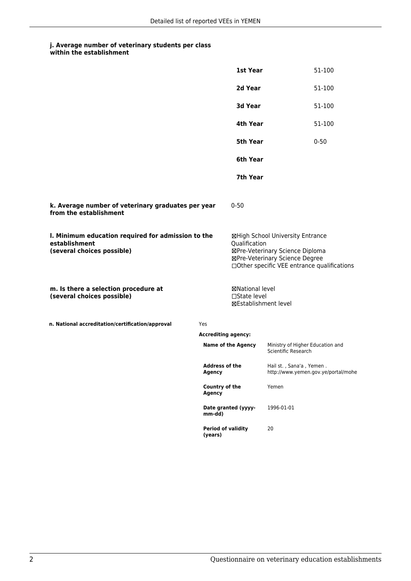### **j. Average number of veterinary students per class within the establishment**

|                                                                                                   |                                      | 1st Year                                                |                                                                                                                                                      | 51-100   |
|---------------------------------------------------------------------------------------------------|--------------------------------------|---------------------------------------------------------|------------------------------------------------------------------------------------------------------------------------------------------------------|----------|
|                                                                                                   |                                      | 2d Year                                                 |                                                                                                                                                      | 51-100   |
|                                                                                                   |                                      | 3d Year                                                 |                                                                                                                                                      | 51-100   |
|                                                                                                   |                                      | 4th Year                                                |                                                                                                                                                      | 51-100   |
|                                                                                                   |                                      | 5th Year                                                |                                                                                                                                                      | $0 - 50$ |
|                                                                                                   |                                      | 6th Year                                                |                                                                                                                                                      |          |
|                                                                                                   |                                      | 7th Year                                                |                                                                                                                                                      |          |
| k. Average number of veterinary graduates per year<br>from the establishment                      |                                      | $0 - 50$                                                |                                                                                                                                                      |          |
| I. Minimum education required for admission to the<br>establishment<br>(several choices possible) |                                      | Qualification                                           | ⊠High School University Entrance<br>⊠Pre-Veterinary Science Diploma<br>⊠Pre-Veterinary Science Degree<br>□Other specific VEE entrance qualifications |          |
| m. Is there a selection procedure at<br>(several choices possible)                                |                                      | ⊠National level<br>□State level<br>⊠Establishment level |                                                                                                                                                      |          |
| n. National accreditation/certification/approval                                                  | Yes                                  |                                                         |                                                                                                                                                      |          |
| <b>Accrediting agency:</b>                                                                        |                                      |                                                         |                                                                                                                                                      |          |
|                                                                                                   | <b>Name of the Agency</b>            |                                                         | Ministry of Higher Education and<br>Scientific Research                                                                                              |          |
|                                                                                                   | Address of the<br><b>Agency</b>      |                                                         | Hail st., Sana'a, Yemen<br>http://www.yemen.gov.ye/portal/mohe                                                                                       |          |
|                                                                                                   | Country of the<br><b>Agency</b>      |                                                         | Yemen                                                                                                                                                |          |
|                                                                                                   | mm-dd)                               | Date granted (yyyy-                                     | 1996-01-01                                                                                                                                           |          |
|                                                                                                   | <b>Period of validity</b><br>(years) |                                                         | 20                                                                                                                                                   |          |